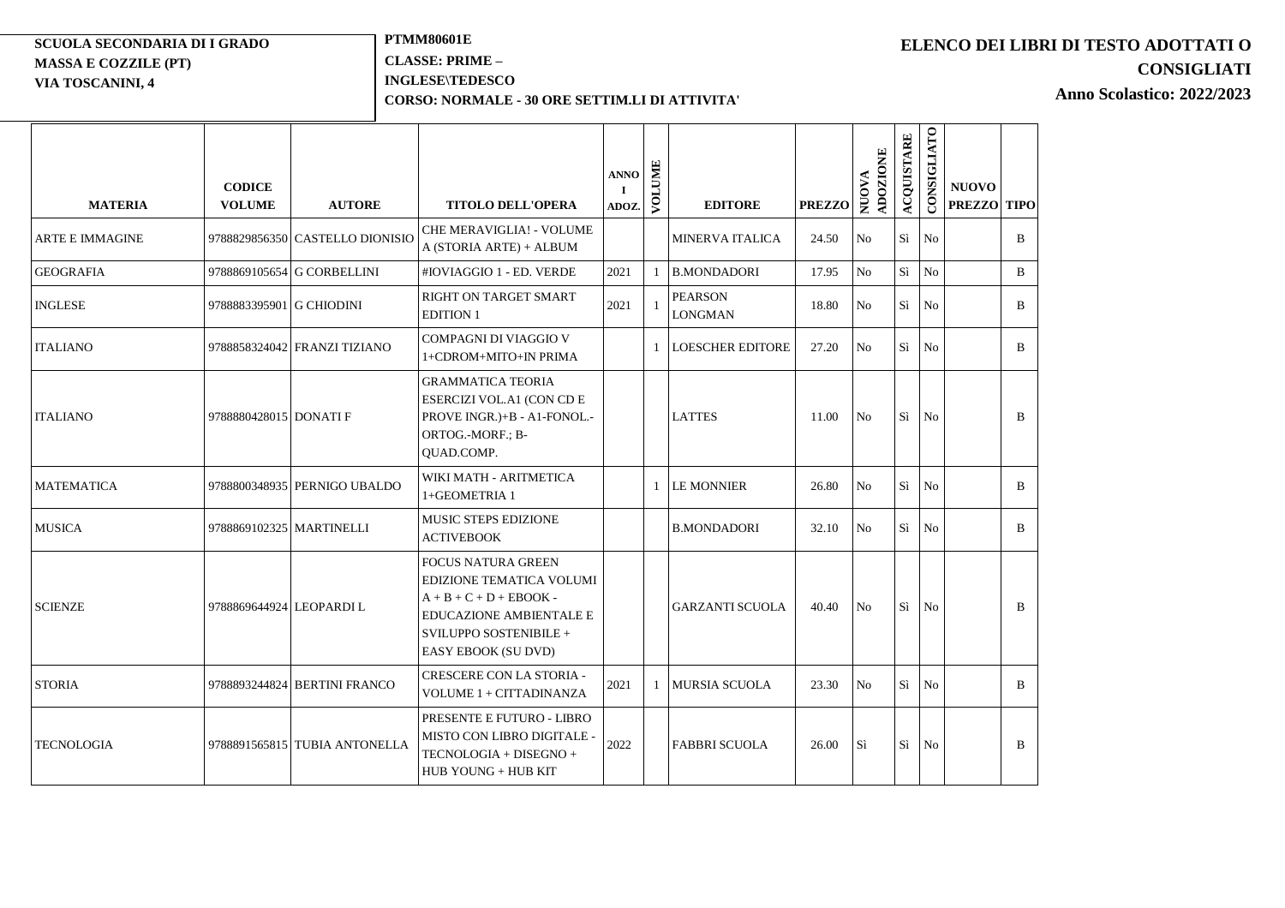### **SCUOLA SECONDARIA DI I GRADO MASSA E COZZILE (PT) VIA TOSCANINI, 4**

 $\equiv$ 

## **PTMM80601E CLASSE: PRIME – INGLESE\TEDESCO**

**DIDATTICAL** 

### **CORSO: NORMALE - 30 ORE SETTIM.LI DI ATTIVITA'**

# **ELENCO DEI LIBRI DI TESTO ADOTTATI O CONSIGLIATI**

 $\sim$ 

**Anno Scolastico: 2022/2023**

| <b>MATERIA</b>         | <b>CODICE</b><br><b>VOLUME</b> | <b>AUTORE</b>                   | <b>TITOLO DELL'OPERA</b>                                                                                                                                              | <b>ANNO</b><br>$\mathbf I$<br>ADOZ. | VOLUME | <b>EDITORE</b>                   | <b>PREZZO</b> | ADOZIONE<br><b>NUOVA</b> | <b>ACQUISTARE</b> | CONSIGLIATO    | <b>NUOVO</b><br><b>PREZZO</b> | <b>TIPO</b>  |
|------------------------|--------------------------------|---------------------------------|-----------------------------------------------------------------------------------------------------------------------------------------------------------------------|-------------------------------------|--------|----------------------------------|---------------|--------------------------|-------------------|----------------|-------------------------------|--------------|
| <b>ARTE E IMMAGINE</b> |                                | 9788829856350 CASTELLO DIONISIO | CHE MERAVIGLIA! - VOLUME<br>A (STORIA ARTE) + ALBUM                                                                                                                   |                                     |        | <b>MINERVA ITALICA</b>           | 24.50         | N <sub>o</sub>           | Si                | No             |                               | B            |
| <b>GEOGRAFIA</b>       |                                | 9788869105654 G CORBELLINI      | #IOVIAGGIO 1 - ED. VERDE                                                                                                                                              | 2021                                |        | <b>B.MONDADORI</b>               | 17.95         | No                       | Sì                | No             |                               | B            |
| <b>INGLESE</b>         | 9788883395901 G CHIODINI       |                                 | RIGHT ON TARGET SMART<br><b>EDITION 1</b>                                                                                                                             | 2021                                |        | <b>PEARSON</b><br><b>LONGMAN</b> | 18.80         | N <sub>o</sub>           | Sì                | N <sub>o</sub> |                               | B            |
| <b>ITALIANO</b>        |                                | 9788858324042 FRANZI TIZIANO    | COMPAGNI DI VIAGGIO V<br>1+CDROM+MITO+IN PRIMA                                                                                                                        |                                     |        | <b>LOESCHER EDITORE</b>          | 27.20         | N <sub>o</sub>           | Sì                | No             |                               | $\mathbf{B}$ |
| <b>ITALIANO</b>        | 9788880428015 DONATI F         |                                 | <b>GRAMMATICA TEORIA</b><br>ESERCIZI VOL.A1 (CON CD E<br>PROVE INGR.)+B - A1-FONOL.-<br>ORTOG.-MORF.; B-<br>QUAD.COMP.                                                |                                     |        | <b>LATTES</b>                    | 11.00         | No                       | Sì                | N <sub>0</sub> |                               | B            |
| <b>MATEMATICA</b>      |                                | 9788800348935 PERNIGO UBALDO    | WIKI MATH - ARITMETICA<br>1+GEOMETRIA 1                                                                                                                               |                                     |        | <b>LE MONNIER</b>                | 26.80         | No                       | Si                | N <sub>o</sub> |                               | B            |
| <b>MUSICA</b>          |                                | 9788869102325 MARTINELLI        | MUSIC STEPS EDIZIONE<br><b>ACTIVEBOOK</b>                                                                                                                             |                                     |        | <b>B.MONDADORI</b>               | 32.10         | No                       | Sì                | N <sub>0</sub> |                               | <sub>B</sub> |
| <b>SCIENZE</b>         | 9788869644924 LEOPARDI L       |                                 | <b>FOCUS NATURA GREEN</b><br>EDIZIONE TEMATICA VOLUMI<br>$A + B + C + D + EBOOK -$<br><b>EDUCAZIONE AMBIENTALE E</b><br>SVILUPPO SOSTENIBILE +<br>EASY EBOOK (SU DVD) |                                     |        | <b>GARZANTI SCUOLA</b>           | 40.40         | N <sub>0</sub>           | Sì                | No             |                               | B            |
| <b>STORIA</b>          |                                | 9788893244824 BERTINI FRANCO    | CRESCERE CON LA STORIA -<br>VOLUME 1 + CITTADINANZA                                                                                                                   | 2021                                |        | <b>MURSIA SCUOLA</b>             | 23.30         | N <sub>o</sub>           | Sì                | No             |                               | B            |
| <b>TECNOLOGIA</b>      |                                | 9788891565815 TUBIA ANTONELLA   | PRESENTE E FUTURO - LIBRO<br>MISTO CON LIBRO DIGITALE<br>TECNOLOGIA + DISEGNO +<br>HUB YOUNG + HUB KIT                                                                | 2022                                |        | <b>FABBRI SCUOLA</b>             | 26.00         | Sì                       | Sì                | N <sub>0</sub> |                               | B            |